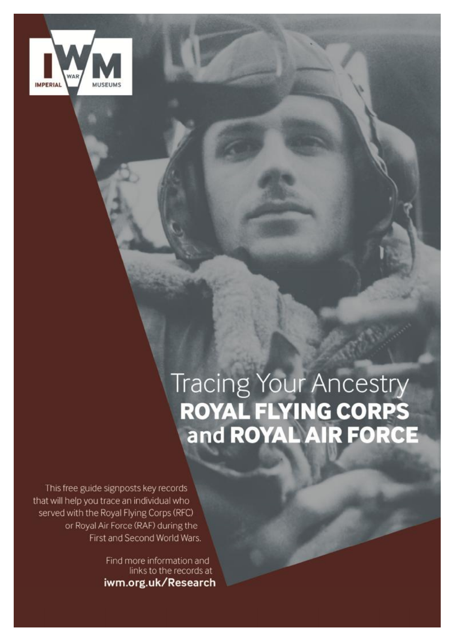

# tracing your Ancestry i you trace an individual who served with the Royal FROYAL FLYING CORPS (R the First and Second Wars. The First and Find more information and links to the records at the records at the records at the records at the records at the records at the records at the records at the records at the records at the records at the records at the rec

**in the company's company's company's** 

This free guide signposts key records that will help you trace an individual who served with the Royal Flying Corps (RFC) or Royal Air Force (RAF) during the First and Second World Wars.

> Find more information and links to the records at iwm.org.uk/Research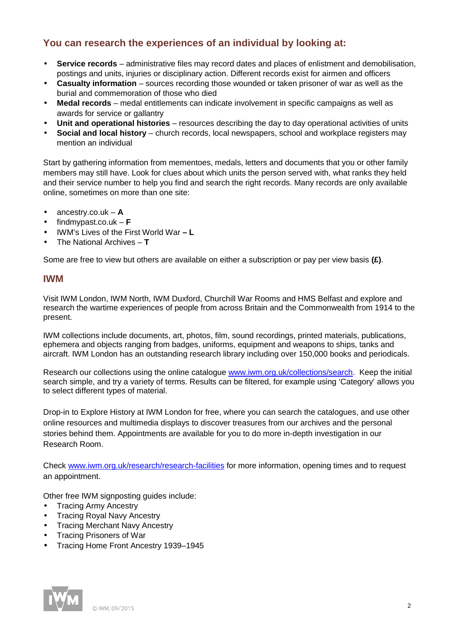# **You can research the experiences of an individual by looking at:**

- **Service records** administrative files may record dates and places of enlistment and demobilisation,  $\mathbf{r}^{\mathrm{max}}$ postings and units, injuries or disciplinary action. Different records exist for airmen and officers
- **Casualty information** sources recording those wounded or taken prisoner of war as well as the burial and commemoration of those who died
- **Medal records** medal entitlements can indicate involvement in specific campaigns as well as awards for service or gallantry
- **Unit and operational histories** resources describing the day to day operational activities of units
- **Social and local history** church records, local newspapers, school and workplace registers may mention an individual

Start by gathering information from mementoes, medals, letters and documents that you or other family members may still have. Look for clues about which units the person served with, what ranks they held and their service number to help you find and search the right records. Many records are only available online, sometimes on more than one site:

- l. ancestry.co.uk – **A**
- findmypast.co.uk **F**
- IWM's Lives of the First World War **– L**
- The National Archives **T**   $\mathbf{r}$

Some are free to view but others are available on either a subscription or pay per view basis **(£)**.

## **IWM**

Visit IWM London, IWM North, IWM Duxford, Churchill War Rooms and HMS Belfast and explore and research the wartime experiences of people from across Britain and the Commonwealth from 1914 to the present.

IWM collections include documents, art, photos, film, sound recordings, printed materials, publications, ephemera and objects ranging from badges, uniforms, equipment and weapons to ships, tanks and aircraft. IWM London has an outstanding research library including over 150,000 books and periodicals.

Research our collections using the online catalogue [www.iwm.org.uk/collections/search](http://www.iwm.org.uk/collections/search). Keep the initial search simple, and try a variety of terms. Results can be filtered, for example using 'Category' allows you to select different types of material.

Drop-in to Explore History at IWM London for free, where you can search the catalogues, and use other online resources and multimedia displays to discover treasures from our archives and the personal stories behind them. Appointments are available for you to do more in-depth investigation in our Research Room.

Check [www.iwm.org.uk/research/research-facilities](http://www.iwm.org.uk/research/research-facilities) for more information, opening times and to request an appointment.

Other free IWM signposting guides include:

- Tracing Army Ancestry
- Tracing Royal Navy Ancestry
- Tracing Merchant Navy Ancestry
- Tracing Prisoners of War
- Tracing Home Front Ancestry 1939–1945

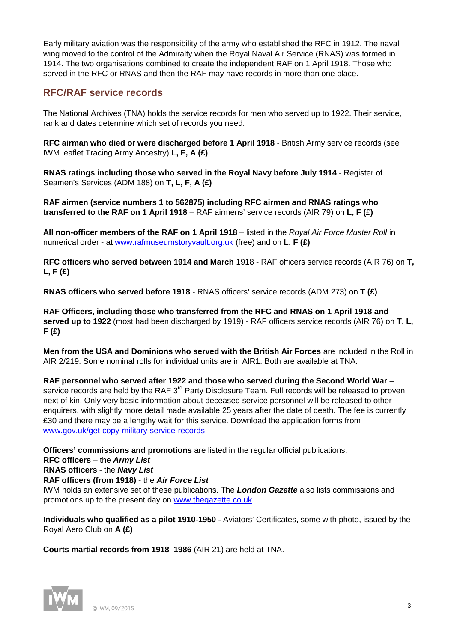Early military aviation was the responsibility of the army who established the RFC in 1912. The naval wing moved to the control of the Admiralty when the Royal Naval Air Service (RNAS) was formed in 1914. The two organisations combined to create the independent RAF on 1 April 1918. Those who served in the RFC or RNAS and then the RAF may have records in more than one place.

## **RFC/RAF service records**

The National Archives (TNA) holds the service records for men who served up to 1922. Their service, rank and dates determine which set of records you need:

**RFC airman who died or were discharged before 1 April 1918** - British Army service records (see IWM leaflet Tracing Army Ancestry) **L, F, A (£)** 

**RNAS ratings including those who served in the Royal Navy before July 1914** - Register of Seamen's Services (ADM 188) on **T, L, F, A (£)** 

**RAF airmen (service numbers 1 to 562875) including RFC airmen and RNAS ratings who transferred to the RAF on 1 April 1918** – RAF airmens' service records (AIR 79) on **L, F (**£**)** 

**All non-officer members of the RAF on 1 April 1918** – listed in the *Royal Air Force Muster Roll* in numerical order - at [www.rafmuseumstoryvault.org.uk](http://www.rafmuseumstoryvault.org.uk) (free) and on **L, F (£)** 

**RFC officers who served between 1914 and March** 1918 - RAF officers service records (AIR 76) on **T, L, F (£)**

**RNAS officers who served before 1918** - RNAS officers' service records (ADM 273) on **T (£)**

**RAF Officers, including those who transferred from the RFC and RNAS on 1 April 1918 and served up to 1922** (most had been discharged by 1919) - RAF officers service records (AIR 76) on **T, L, F (£)** 

**Men from the USA and Dominions who served with the British Air Forces** are included in the Roll in AIR 2/219. Some nominal rolls for individual units are in AIR1. Both are available at TNA.

**RAF personnel who served after 1922 and those who served during the Second World War** – service records are held by the RAF 3<sup>rd</sup> Party Disclosure Team. Full records will be released to proven next of kin. Only very basic information about deceased service personnel will be released to other enquirers, with slightly more detail made available 25 years after the date of death. The fee is currently £30 and there may be a lengthy wait for this service. Download the application forms from [www.gov.uk/get-copy-military-service-records](http://www.gov.uk/get-copy-military-service-records)

**Officers' commissions and promotions** are listed in the regular official publications:

### **RFC officers** – the *Army List*

**RNAS officers** - the *Navy List* 

**RAF officers (from 1918)** - the *Air Force List*

IWM holds an extensive set of these publications. The *London Gazette* also lists commissions and promotions up to the present day on [www.thegazette.co.uk](http://www.thegazette.co.uk)

**Individuals who qualified as a pilot 1910-1950 -** Aviators' Certificates, some with photo, issued by the Royal Aero Club on **A (£)**

**Courts martial records from 1918–1986** (AIR 21) are held at TNA.

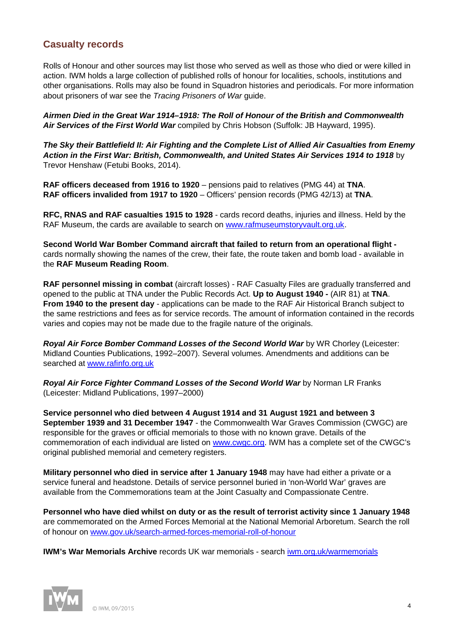## **Casualty records**

Rolls of Honour and other sources may list those who served as well as those who died or were killed in action. IWM holds a large collection of published rolls of honour for localities, schools, institutions and other organisations. Rolls may also be found in Squadron histories and periodicals. For more information about prisoners of war see the *Tracing Prisoners of War* guide.

*Airmen Died in the Great War 1914–1918: The Roll of Honour of the British and Commonwealth Air Services of the First World War* compiled by Chris Hobson (Suffolk: JB Hayward, 1995).

*The Sky their Battlefield II: Air Fighting and the Complete List of Allied Air Casualties from Enemy Action in the First War: British, Commonwealth, and United States Air Services 1914 to 1918* by Trevor Henshaw (Fetubi Books, 2014).

**RAF officers deceased from 1916 to 1920** – pensions paid to relatives (PMG 44) at **TNA**. **RAF officers invalided from 1917 to 1920** – Officers' pension records (PMG 42/13) at **TNA**.

**RFC, RNAS and RAF casualties 1915 to 1928** - cards record deaths, injuries and illness. Held by the RAF Museum, the cards are available to search on [www.rafmuseumstoryvault.org.uk](http://www.rafmuseumstoryvault.org.uk).

**Second World War Bomber Command aircraft that failed to return from an operational flight**  cards normally showing the names of the crew, their fate, the route taken and bomb load - available in the **RAF Museum Reading Room**.

**RAF personnel missing in combat** (aircraft losses) - RAF Casualty Files are gradually transferred and opened to the public at TNA under the Public Records Act. **Up to August 1940 -** (AIR 81) at **TNA**. **From 1940 to the present day** - applications can be made to the RAF Air Historical Branch subject to the same restrictions and fees as for service records. The amount of information contained in the records varies and copies may not be made due to the fragile nature of the originals.

*Royal Air Force Bomber Command Losses of the Second World War* by WR Chorley (Leicester: Midland Counties Publications, 1992–2007). Several volumes. Amendments and additions can be searched at [www.rafinfo.org.uk](http://www.rafinfo.org.uk)

*Royal Air Force Fighter Command Losses of the Second World War* by Norman LR Franks (Leicester: Midland Publications, 1997–2000)

**Service personnel who died between 4 August 1914 and 31 August 1921 and between 3 September 1939 and 31 December 1947** - the Commonwealth War Graves Commission (CWGC) are responsible for the graves or official memorials to those with no known grave. Details of the commemoration of each individual are listed on [www.cwgc.org.](http://www.cwgc.org) IWM has a complete set of the CWGC's original published memorial and cemetery registers.

**Military personnel who died in service after 1 January 1948** may have had either a private or a service funeral and headstone. Details of service personnel buried in 'non-World War' graves are available from the Commemorations team at the Joint Casualty and Compassionate Centre.

**Personnel who have died whilst on duty or as the result of terrorist activity since 1 January 1948** are commemorated on the Armed Forces Memorial at the National Memorial Arboretum. Search the roll of honour on [www.gov.uk/search-armed-forces-memorial-roll-of-honour](http://www.gov.uk/search-armed-forces-memorial-roll-of-honour)

**IWM's War Memorials Archive** records UK war memorials - search iwm.org.uk/warmemorials

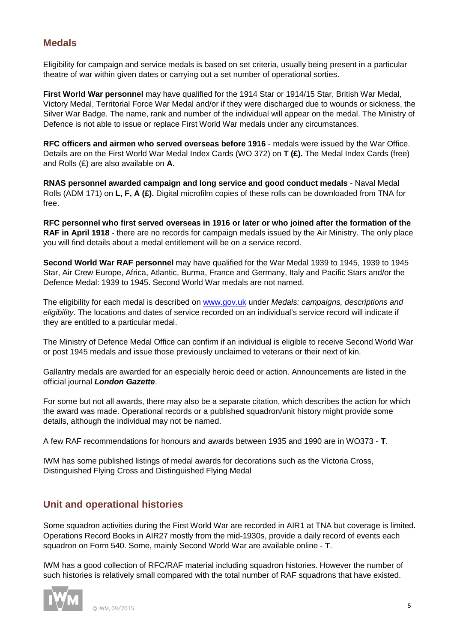# **Medals**

Eligibility for campaign and service medals is based on set criteria, usually being present in a particular theatre of war within given dates or carrying out a set number of operational sorties.

**First World War personnel** may have qualified for the 1914 Star or 1914/15 Star, British War Medal, Victory Medal, Territorial Force War Medal and/or if they were discharged due to wounds or sickness, the Silver War Badge. The name, rank and number of the individual will appear on the medal. The Ministry of Defence is not able to issue or replace First World War medals under any circumstances.

**RFC officers and airmen who served overseas before 1916** - medals were issued by the War Office. Details are on the First World War Medal Index Cards (WO 372) on **T (£).** The Medal Index Cards (free) and Rolls (£) are also available on **A**.

**RNAS personnel awarded campaign and long service and good conduct medals** - Naval Medal Rolls (ADM 171) on **L, F, A (£).** Digital microfilm copies of these rolls can be downloaded from TNA for free.

**RFC personnel who first served overseas in 1916 or later or who joined after the formation of the RAF in April 1918** - there are no records for campaign medals issued by the Air Ministry. The only place you will find details about a medal entitlement will be on a service record.

**Second World War RAF personnel** may have qualified for the War Medal 1939 to 1945, 1939 to 1945 Star, Air Crew Europe, Africa, Atlantic, Burma, France and Germany, Italy and Pacific Stars and/or the Defence Medal: 1939 to 1945. Second World War medals are not named.

The eligibility for each medal is described on [www.gov.uk](http://www.gov.uk) under *Medals: campaigns, descriptions and eligibility*. The locations and dates of service recorded on an individual's service record will indicate if they are entitled to a particular medal.

The Ministry of Defence Medal Office can confirm if an individual is eligible to receive Second World War or post 1945 medals and issue those previously unclaimed to veterans or their next of kin.

Gallantry medals are awarded for an especially heroic deed or action. Announcements are listed in the official journal *London Gazette*.

For some but not all awards, there may also be a separate citation, which describes the action for which the award was made. Operational records or a published squadron/unit history might provide some details, although the individual may not be named.

A few RAF recommendations for honours and awards between 1935 and 1990 are in WO373 - **T**.

IWM has some published listings of medal awards for decorations such as the Victoria Cross, Distinguished Flying Cross and Distinguished Flying Medal

# **Unit and operational histories**

Some squadron activities during the First World War are recorded in AIR1 at TNA but coverage is limited. Operations Record Books in AIR27 mostly from the mid-1930s, provide a daily record of events each squadron on Form 540. Some, mainly Second World War are available online - **T**.

IWM has a good collection of RFC/RAF material including squadron histories. However the number of such histories is relatively small compared with the total number of RAF squadrons that have existed.